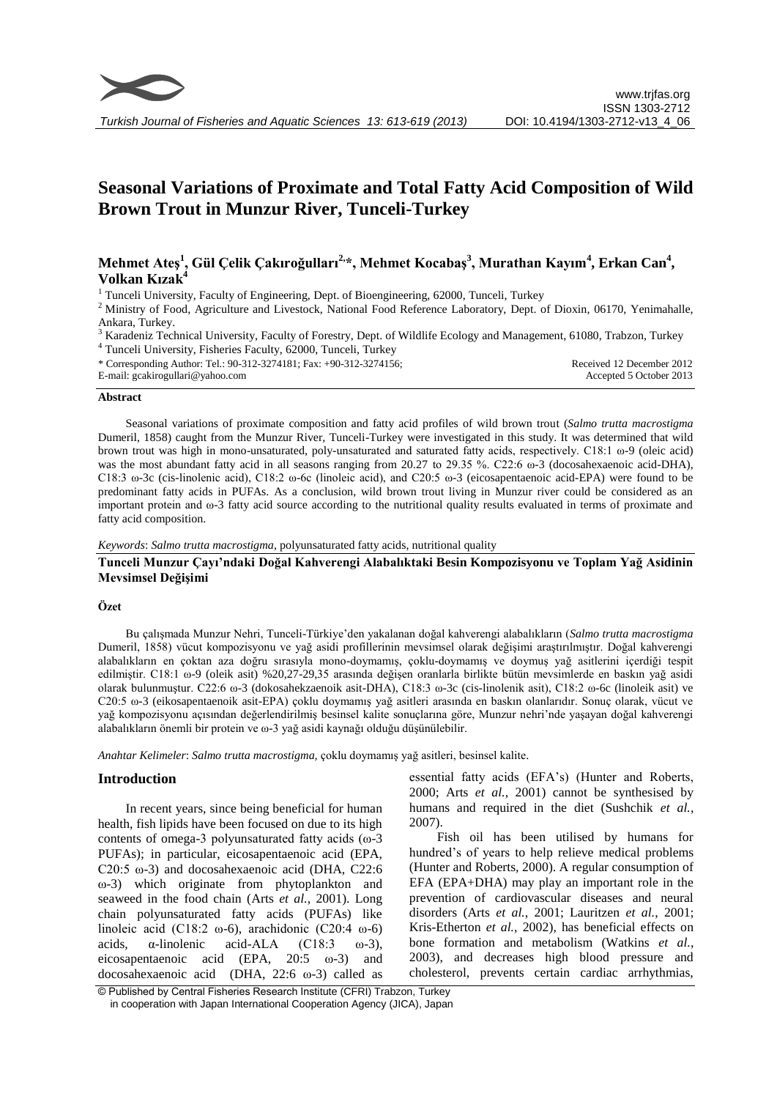

# **Seasonal Variations of Proximate and Total Fatty Acid Composition of Wild Brown Trout in Munzur River, Tunceli-Turkey**

# **Mehmet Ateş<sup>1</sup> , Gül Çelik Çakıroğulları2,\*, Mehmet Kocabaş<sup>3</sup> , Murathan Kayım<sup>4</sup> , Erkan Can<sup>4</sup> , Volkan Kızak<sup>4</sup>**

<sup>1</sup> Tunceli University, Faculty of Engineering, Dept. of Bioengineering, 62000, Tunceli, Turkey

 $2$  Ministry of Food, Agriculture and Livestock, National Food Reference Laboratory, Dept. of Dioxin, 06170, Yenimahalle, Ankara, Turkey.

<sup>3</sup> Karadeniz Technical University, Faculty of Forestry, Dept. of Wildlife Ecology and Management, 61080, Trabzon, Turkey <sup>4</sup> Tunceli University, Fisheries Faculty, 62000, Tunceli, Turkey

\* Corresponding Author: Tel.: 90-312-3274181; Fax: +90-312-3274156; E-mail: gcakirogullari@yahoo.com Received 12 December 2012 Accepted 5 October 2013

#### **Abstract**

Seasonal variations of proximate composition and fatty acid profiles of wild brown trout (*Salmo trutta macrostigma*  Dumeril, 1858) caught from the Munzur River, Tunceli-Turkey were investigated in this study. It was determined that wild brown trout was high in mono-unsaturated, poly-unsaturated and saturated fatty acids, respectively. C18:1 ω-9 (oleic acid) was the most abundant fatty acid in all seasons ranging from 20.27 to 29.35 %. C22:6 ω-3 (docosahexaenoic acid-DHA), C18:3 ω-3c (cis-linolenic acid), C18:2 ω-6c (linoleic acid), and C20:5 ω-3 (eicosapentaenoic acid-EPA) were found to be predominant fatty acids in PUFAs. As a conclusion, wild brown trout living in Munzur river could be considered as an important protein and ω-3 fatty acid source according to the nutritional quality results evaluated in terms of proximate and fatty acid composition.

*Keywords*: *Salmo trutta macrostigma*, polyunsaturated fatty acids, nutritional quality

# **Tunceli Munzur Çayı'ndaki Doğal Kahverengi Alabalıktaki Besin Kompozisyonu ve Toplam Yağ Asidinin Mevsimsel Değişimi**

# **Özet**

Bu çalışmada Munzur Nehri, Tunceli-Türkiye'den yakalanan doğal kahverengi alabalıkların (*Salmo trutta macrostigma* Dumeril, 1858) vücut kompozisyonu ve yağ asidi profillerinin mevsimsel olarak değişimi araştırılmıştır. Doğal kahverengi alabalıkların en çoktan aza doğru sırasıyla mono-doymamış, çoklu-doymamış ve doymuş yağ asitlerini içerdiği tespit edilmiştir. C18:1 ω-9 (oleik asit) %20,27-29,35 arasında değişen oranlarla birlikte bütün mevsimlerde en baskın yağ asidi olarak bulunmuştur. C22:6 ω-3 (dokosahekzaenoik asit-DHA), C18:3 ω-3c (cis-linolenik asit), C18:2 ω-6c (linoleik asit) ve C20:5 ω-3 (eikosapentaenoik asit-EPA) çoklu doymamış yağ asitleri arasında en baskın olanlarıdır. Sonuç olarak, vücut ve yağ kompozisyonu açısından değerlendirilmiş besinsel kalite sonuçlarına göre, Munzur nehri'nde yaşayan doğal kahverengi alabalıkların önemli bir protein ve ω-3 yağ asidi kaynağı olduğu düşünülebilir.

*Anahtar Kelimeler*: *Salmo trutta macrostigma,* çoklu doymamış yağ asitleri, besinsel kalite.

# **Introduction**

In recent years, since being beneficial for human health, fish lipids have been focused on due to its high contents of omega-3 polyunsaturated fatty acids (ω-3 PUFAs); in particular, eicosapentaenoic acid (EPA, C20:5 ω-3) and docosahexaenoic acid (DHA, C22:6 ω-3) which originate from phytoplankton and seaweed in the food chain (Arts *et al.*, 2001). Long chain polyunsaturated fatty acids (PUFAs) like linoleic acid (C18:2 ω-6), arachidonic (C20:4 ω-6) acids,  $\alpha$ -linolenic acid-ALA (C18:3  $\omega$ -3), eicosapentaenoic acid (EPA, 20:5 ω-3) and docosahexaenoic acid (DHA, 22:6 ω-3) called as essential fatty acids (EFA's) (Hunter and Roberts, 2000; Arts *et al.*, 2001) cannot be synthesised by humans and required in the diet (Sushchik *et al.*, 2007).

Fish oil has been utilised by humans for hundred's of years to help relieve medical problems (Hunter and Roberts, 2000). A regular consumption of EFA (EPA+DHA) may play an important role in the prevention of cardiovascular diseases and neural disorders (Arts *et al.*, 2001; Lauritzen *et al.*, 2001; Kris-Etherton *et al.*, 2002), has beneficial effects on bone formation and metabolism (Watkins *et al.*, 2003), and decreases high blood pressure and cholesterol, prevents certain cardiac arrhythmias,

<sup>©</sup> Published by Central Fisheries Research Institute (CFRI) Trabzon, Turkey in cooperation with Japan International Cooperation Agency (JICA), Japan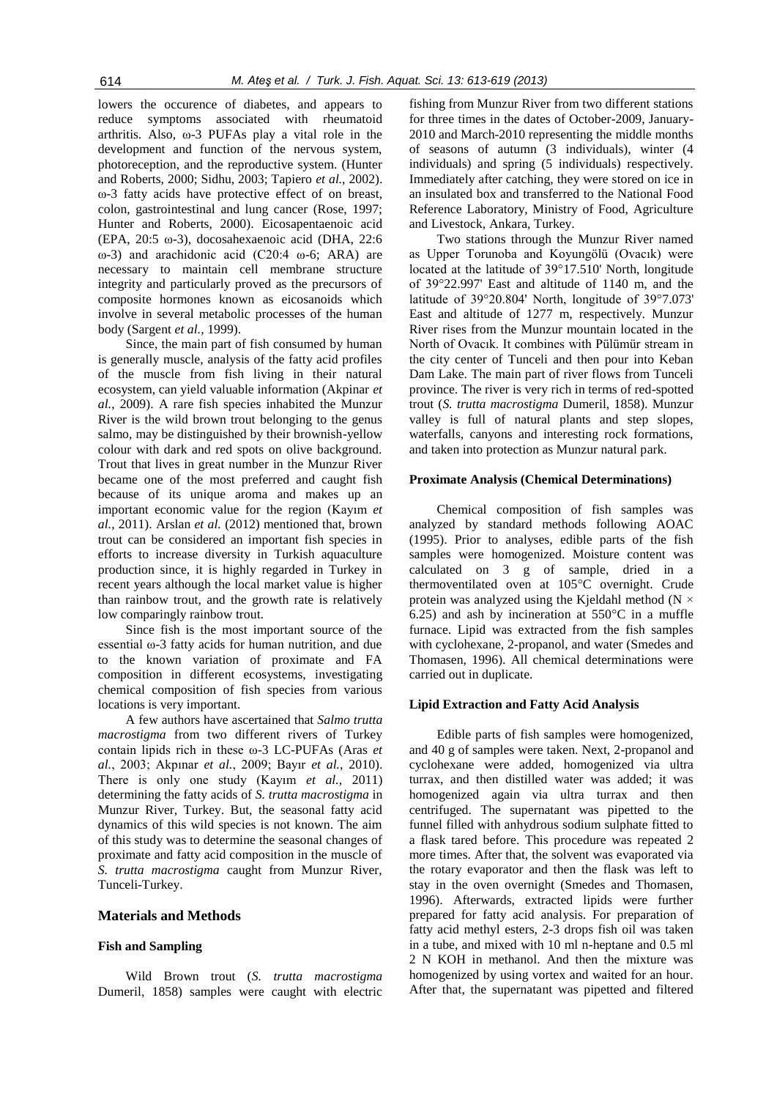lowers the occurence of diabetes, and appears to reduce symptoms associated with rheumatoid arthritis. Also, ω-3 PUFAs play a vital role in the development and function of the nervous system, photoreception, and the reproductive system. (Hunter and Roberts, 2000; Sidhu, 2003; Tapiero *et al.*, 2002). ω-3 fatty acids have protective effect of on breast, colon, gastrointestinal and lung cancer (Rose, 1997; Hunter and Roberts, 2000). Eicosapentaenoic acid (EPA, 20:5 ω-3), docosahexaenoic acid (DHA, 22:6 ω-3) and arachidonic acid (C20:4 ω-6; ARA) are necessary to maintain cell membrane structure integrity and particularly proved as the precursors of composite hormones known as eicosanoids which involve in several metabolic processes of the human body (Sargent *et al.*, 1999).

Since, the main part of fish consumed by human is generally muscle, analysis of the fatty acid profiles of the muscle from fish living in their natural ecosystem, can yield valuable information (Akpinar *et al.*, 2009). A rare fish species inhabited the Munzur River is the wild [brown trout](http://en.wikipedia.org/wiki/Brown_trout) belonging to the genus salmo, may be distinguished by their brownish-yellow colour with dark and red spots on olive background. Trout that lives in great number in the Munzur River became one of the most preferred and caught fish because of its unique aroma and makes up an important [economic value](http://en.wikipedia.org/wiki/Value_(economics)) for the region (Kayım *et al.*, 2011). Arslan *et al.* (2012) mentioned that, brown trout can be considered an important fish species in efforts to increase diversity in Turkish aquaculture production since, it is highly regarded in Turkey in recent years although the local market value is higher than rainbow trout, and the growth rate is relatively low comparingly rainbow trout.

Since fish is the most important source of the essential ω-3 fatty acids for human nutrition, and due to the known variation of proximate and FA composition in different ecosystems, investigating chemical composition of fish species from various locations is very important.

A few authors have ascertained that *Salmo trutta macrostigma* from two different rivers of Turkey contain lipids rich in these ω-3 LC-PUFAs (Aras *et al.*, 2003; Akpınar *et al.*, 2009; Bayır *et al.*, 2010). There is only one study (Kayım *et al.*, 2011) determining the fatty acids of *S. trutta macrostigma* in Munzur River, Turkey. But, the seasonal fatty acid dynamics of this wild species is not known. The aim of this study was to determine the seasonal changes of proximate and fatty acid composition in the muscle of *S. trutta macrostigma* caught from Munzur River, Tunceli-Turkey.

#### **Materials and Methods**

# **Fish and Sampling**

Wild Brown trout (*S. trutta macrostigma* Dumeril, 1858) samples were caught with electric

fishing from Munzur River from two different stations for three times in the dates of October-2009, January-2010 and March-2010 representing the middle months of seasons of autumn (3 individuals), winter (4 individuals) and spring (5 individuals) respectively. Immediately after catching, they were stored on ice in an insulated box and transferred to the National Food Reference Laboratory, Ministry of Food, Agriculture and Livestock, Ankara, Turkey.

Two stations through the Munzur River named as Upper Torunoba and Koyungölü (Ovacık) were located at the latitude of 39°17.510' North, longitude of 39°22.997' East and altitude of 1140 m, and the latitude of 39°20.804' North, longitude of 39°7.073' East and altitude of 1277 m, respectively. Munzur River rises from the Munzur mountain located in the North of Ovacık. It combines with Pülümür stream in the city center of Tunceli and then pour into Keban Dam Lake. The main part of river flows from Tunceli province. The river is very rich in terms of red-spotted trout (*S. trutta macrostigma* Dumeril, 1858). Munzur valley is full of natural plants and step slopes, waterfalls, canyons and interesting rock formations, and taken into protection as Munzur natural park.

#### **Proximate Analysis (Chemical Determinations)**

Chemical composition of fish samples was analyzed by standard methods following AOAC (1995). Prior to analyses, edible parts of the fish samples were homogenized. Moisture content was calculated on 3 g of sample, dried in a thermoventilated oven at 105°C overnight. Crude protein was analyzed using the Kjeldahl method ( $N \times$ 6.25) and ash by incineration at  $550^{\circ}$ C in a muffle furnace. Lipid was extracted from the fish samples with cyclohexane, 2-propanol, and water (Smedes and Thomasen, 1996). All chemical determinations were carried out in duplicate.

### **Lipid Extraction and Fatty Acid Analysis**

Edible parts of fish samples were homogenized, and 40 g of samples were taken. Next, 2-propanol and cyclohexane were added, homogenized via ultra turrax, and then distilled water was added; it was homogenized again via ultra turrax and then centrifuged. The supernatant was pipetted to the funnel filled with anhydrous sodium sulphate fitted to a flask tared before. This procedure was repeated 2 more times. After that, the solvent was evaporated via the rotary evaporator and then the flask was left to stay in the oven overnight (Smedes and Thomasen, 1996). Afterwards, extracted lipids were further prepared for fatty acid analysis. For preparation of fatty acid methyl esters, 2-3 drops fish oil was taken in a tube, and mixed with 10 ml n-heptane and 0.5 ml 2 N KOH in methanol. And then the mixture was homogenized by using vortex and waited for an hour. After that, the supernatant was pipetted and filtered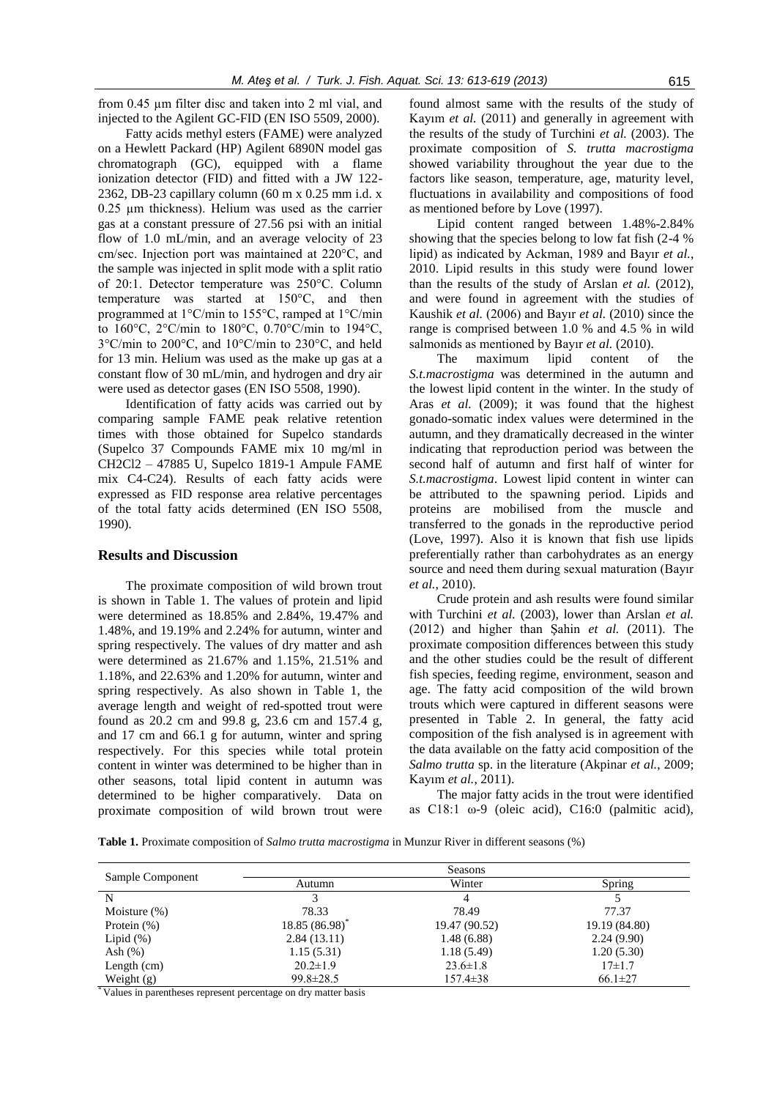from 0.45 µm filter disc and taken into 2 ml vial, and injected to the Agilent GC-FID (EN ISO 5509, 2000).

Fatty acids methyl esters (FAME) were analyzed on a Hewlett Packard (HP) Agilent 6890N model gas chromatograph (GC), equipped with a flame ionization detector (FID) and fitted with a JW 122- 2362, DB-23 capillary column (60 m x 0.25 mm i.d. x 0.25 µm thickness). Helium was used as the carrier gas at a constant pressure of 27.56 psi with an initial flow of 1.0 mL/min, and an average velocity of 23 cm/sec. Injection port was maintained at 220°C, and the sample was injected in split mode with a split ratio of 20:1. Detector temperature was 250°C. Column temperature was started at 150°C, and then programmed at 1°C/min to 155°C, ramped at 1°C/min to 160°C, 2°C/min to 180°C, 0.70°C/min to 194°C, 3°C/min to 200°C, and 10°C/min to 230°C, and held for 13 min. Helium was used as the make up gas at a constant flow of 30 mL/min, and hydrogen and dry air were used as detector gases (EN ISO 5508, 1990).

Identification of fatty acids was carried out by comparing sample FAME peak relative retention times with those obtained for Supelco standards (Supelco 37 Compounds FAME mix 10 mg/ml in CH2Cl2 – 47885 U, Supelco 1819-1 Ampule FAME mix C4-C24). Results of each fatty acids were expressed as FID response area relative percentages of the total fatty acids determined (EN ISO 5508, 1990).

### **Results and Discussion**

The proximate composition of wild brown trout is shown in Table 1. The values of protein and lipid were determined as 18.85% and 2.84%, 19.47% and 1.48%, and 19.19% and 2.24% for autumn, winter and spring respectively. The values of dry matter and ash were determined as 21.67% and 1.15%, 21.51% and 1.18%, and 22.63% and 1.20% for autumn, winter and spring respectively. As also shown in Table 1, the average length and weight of red-spotted trout were found as 20.2 cm and 99.8 g, 23.6 cm and 157.4 g, and 17 cm and 66.1 g for autumn, winter and spring respectively. For this species while total protein content in winter was determined to be higher than in other seasons, total lipid content in autumn was determined to be higher comparatively. Data on proximate composition of wild brown trout were found almost same with the results of the study of Kayım *et al.* (2011) and generally in agreement with the results of the study of Turchini *et al.* (2003). The proximate composition of *S. trutta macrostigma* showed variability throughout the year due to the factors like season, temperature, age, maturity level, fluctuations in availability and compositions of food as mentioned before by Love (1997).

Lipid content ranged between 1.48%-2.84% showing that the species belong to low fat fish (2-4 % lipid) as indicated by Ackman, 1989 and Bayır *et al.*, 2010. Lipid results in this study were found lower than the results of the study of Arslan *et al.* (2012), and were found in agreement with the studies of Kaushik *et al.* (2006) and Bayır *et al.* (2010) since the range is comprised between 1.0 % and 4.5 % in wild salmonids as mentioned by Bayır *et al.* (2010).

The maximum lipid content of the *S.t.macrostigma* was determined in the autumn and the lowest lipid content in the winter. In the study of Aras *et al.* (2009); it was found that the highest gonado-somatic index values were determined in the autumn, and they dramatically decreased in the winter indicating that reproduction period was between the second half of autumn and first half of winter for *S.t.macrostigma*. Lowest lipid content in winter can be attributed to the spawning period. Lipids and proteins are mobilised from the muscle and transferred to the gonads in the reproductive period (Love, 1997). Also it is known that fish use lipids preferentially rather than carbohydrates as an energy source and need them during sexual maturation (Bayır *et al.*, 2010).

Crude protein and ash results were found similar with Turchini *et al.* (2003), lower than Arslan *et al.* (2012) and higher than Şahin *et al.* (2011). The proximate composition differences between this study and the other studies could be the result of different fish species, feeding regime, environment, season and age. The fatty acid composition of the wild brown trouts which were captured in different seasons were presented in Table 2. In general, the fatty acid composition of the fish analysed is in agreement with the data available on the fatty acid composition of the *Salmo trutta* sp. in the literature (Akpinar *et al.*, 2009; Kayım *et al.*, 2011).

The major fatty acids in the trout were identified as C18:1 ω-9 (oleic acid), C16:0 (palmitic acid),

**Table 1.** Proximate composition of *Salmo trutta macrostigma* in Munzur River in different seasons (%)

| Sample Component | <b>Seasons</b>             |                |               |
|------------------|----------------------------|----------------|---------------|
|                  | Autumn                     | Winter         | Spring        |
| N                |                            |                |               |
| Moisture $(\%)$  | 78.33                      | 78.49          | 77.37         |
| Protein $(\%)$   | 18.85 (86.98) <sup>*</sup> | 19.47 (90.52)  | 19.19 (84.80) |
| Lipid $(\%)$     | 2.84(13.11)                | 1.48(6.88)     | 2.24(9.90)    |
| Ash $(\%)$       | 1.15(5.31)                 | 1.18(5.49)     | 1.20(5.30)    |
| Length $(cm)$    | $20.2 \pm 1.9$             | $23.6 \pm 1.8$ | $17\pm1.7$    |
| Weight $(g)$     | $99.8 \pm 28.5$            | $157.4 \pm 38$ | $66.1 \pm 27$ |

\* Values in parentheses represent percentage on dry matter basis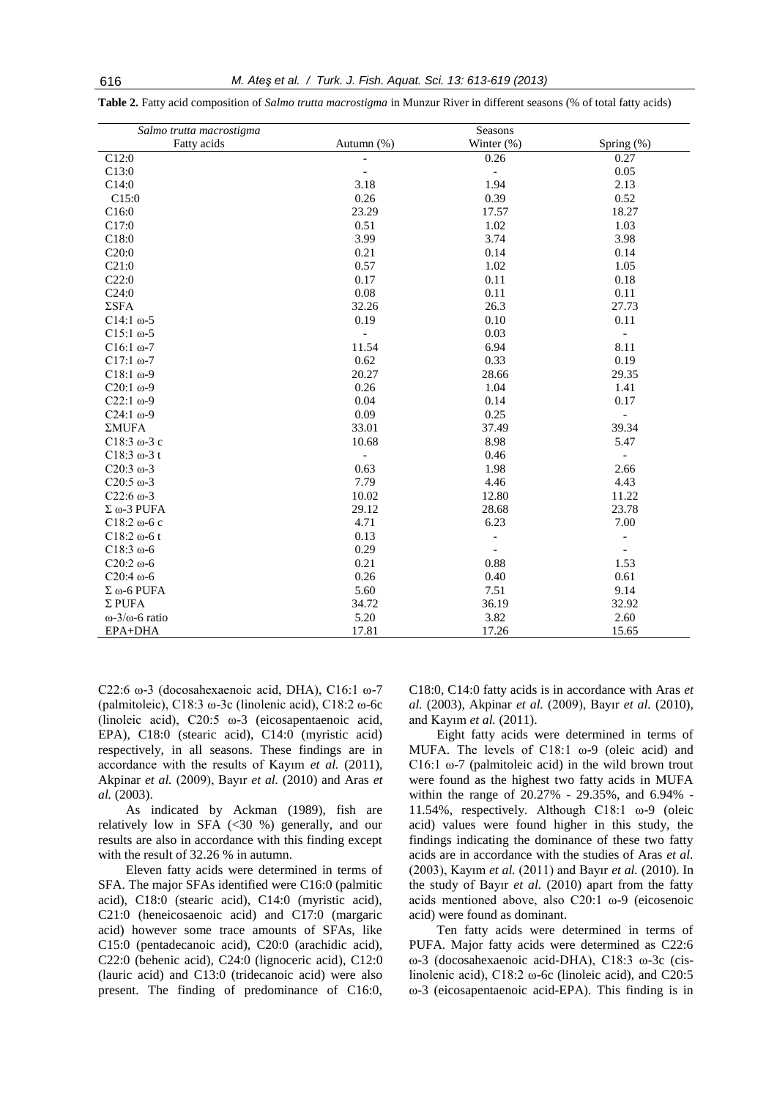| Salmo trutta macrostigma       | Seasons                  |                          |                          |
|--------------------------------|--------------------------|--------------------------|--------------------------|
| Fatty acids                    | Autumn (%)               | Winter $(\%)$            | Spring (%)               |
| C12:0                          |                          | 0.26                     | 0.27                     |
| C13:0                          |                          | $\blacksquare$           | 0.05                     |
| C14:0                          | 3.18                     | 1.94                     | 2.13                     |
| C15:0                          | 0.26                     | 0.39                     | 0.52                     |
| C16:0                          | 23.29                    | 17.57                    | 18.27                    |
| C17:0                          | 0.51                     | 1.02                     | 1.03                     |
| C18:0                          | 3.99                     | 3.74                     | 3.98                     |
| C20:0                          | 0.21                     | 0.14                     | 0.14                     |
| C21:0                          | 0.57                     | 1.02                     | 1.05                     |
| C22:0                          | 0.17                     | 0.11                     | 0.18                     |
| C24:0                          | 0.08                     | 0.11                     | 0.11                     |
| $\Sigma$ SFA                   | 32.26                    | 26.3                     | 27.73                    |
| $C14:1 \omega - 5$             | 0.19                     | 0.10                     | 0.11                     |
| $C15:1$ ω-5                    | $\overline{\phantom{a}}$ | 0.03                     | $\overline{\phantom{a}}$ |
| $C16:1$ ω-7                    | 11.54                    | 6.94                     | 8.11                     |
| $C17:1$ ω-7                    | 0.62                     | 0.33                     | 0.19                     |
| $C18:1$ ω-9                    | 20.27                    | 28.66                    | 29.35                    |
| $C20:1$ $\omega$ -9            | 0.26                     | 1.04                     | 1.41                     |
| $C22:1 \omega - 9$             | 0.04                     | 0.14                     | 0.17                     |
| $C24:1 \omega - 9$             | 0.09                     | 0.25                     |                          |
| ΣMUFA                          | 33.01                    | 37.49                    | 39.34                    |
| $C18:3 \omega - 3c$            | 10.68                    | 8.98                     | 5.47                     |
| $C18:3 \omega - 3t$            |                          | 0.46                     |                          |
| $C20:3 \omega - 3$             | 0.63                     | 1.98                     | 2.66                     |
| $C20:5 \omega - 3$             | 7.79                     | 4.46                     | 4.43                     |
| C22:6 $\omega$ -3              | 10.02                    | 12.80                    | 11.22                    |
| $\Sigma$ @-3 PUFA              | 29.12                    | 28.68                    | 23.78                    |
| $C18:2$ ω-6 c                  | 4.71                     | 6.23                     | 7.00                     |
| $C18:2 \omega - 6t$            | 0.13                     | $\overline{\phantom{0}}$ | $\overline{a}$           |
| C18:3 $\omega$ -6              | 0.29                     | $\overline{\phantom{a}}$ | $\overline{\phantom{a}}$ |
| $C20:2 \omega - 6$             | 0.21                     | 0.88                     | 1.53                     |
| $C20:4 \omega - 6$             | 0.26                     | 0.40                     | 0.61                     |
| $\Sigma$ 0-6 PUFA              | 5.60                     | 7.51                     | 9.14                     |
| $\Sigma$ PUFA                  | 34.72                    | 36.19                    | 32.92                    |
| $\omega$ -3/ $\omega$ -6 ratio | 5.20                     | 3.82                     | 2.60                     |
| EPA+DHA                        | 17.81                    | 17.26                    | 15.65                    |

**Table 2.** Fatty acid composition of *Salmo trutta macrostigma* in Munzur River in different seasons (% of total fatty acids)

C22:6 ω-3 (docosahexaenoic acid, DHA), C16:1 ω-7 (palmitoleic), C18:3 ω-3c (linolenic acid), C18:2 ω-6c (linoleic acid), C20:5 ω-3 (eicosapentaenoic acid, EPA), C18:0 (stearic acid), C14:0 (myristic acid) respectively, in all seasons. These findings are in accordance with the results of Kayım *et al.* (2011), Akpinar *et al.* (2009), Bayır *et al.* (2010) and Aras *et al.* (2003).

As indicated by Ackman (1989), fish are relatively low in SFA (<30 %) generally, and our results are also in accordance with this finding except with the result of 32.26 % in autumn.

Eleven fatty acids were determined in terms of SFA. The major SFAs identified were C16:0 (palmitic acid), C18:0 (stearic acid), C14:0 (myristic acid), C21:0 (heneicosaenoic acid) and C17:0 (margaric acid) however some trace amounts of SFAs, like C15:0 (pentadecanoic acid), C20:0 (arachidic acid), C22:0 (behenic acid), C24:0 (lignoceric acid), C12:0 (lauric acid) and C13:0 (tridecanoic acid) were also present. The finding of predominance of C16:0, C18:0, C14:0 fatty acids is in accordance with Aras *et al.* (2003), Akpinar *et al.* (2009), Bayır *et al.* (2010), and Kayım *et al.* (2011).

Eight fatty acids were determined in terms of MUFA. The levels of C18:1 ω-9 (oleic acid) and C16:1  $\omega$ -7 (palmitoleic acid) in the wild brown trout were found as the highest two fatty acids in MUFA within the range of 20.27% - 29.35%, and 6.94% - 11.54%, respectively. Although C18:1 ω-9 (oleic acid) values were found higher in this study, the findings indicating the dominance of these two fatty acids are in accordance with the studies of Aras *et al.* (2003), Kayım *et al.* (2011) and Bayır *et al.* (2010). In the study of Bayır *et al.* (2010) apart from the fatty acids mentioned above, also C20:1 ω-9 (eicosenoic acid) were found as dominant.

Ten fatty acids were determined in terms of PUFA. Major fatty acids were determined as C22:6 ω-3 (docosahexaenoic acid-DHA), C18:3 ω-3c (cislinolenic acid), C18:2 ω-6c (linoleic acid), and C20:5 ω-3 (eicosapentaenoic acid-EPA). This finding is in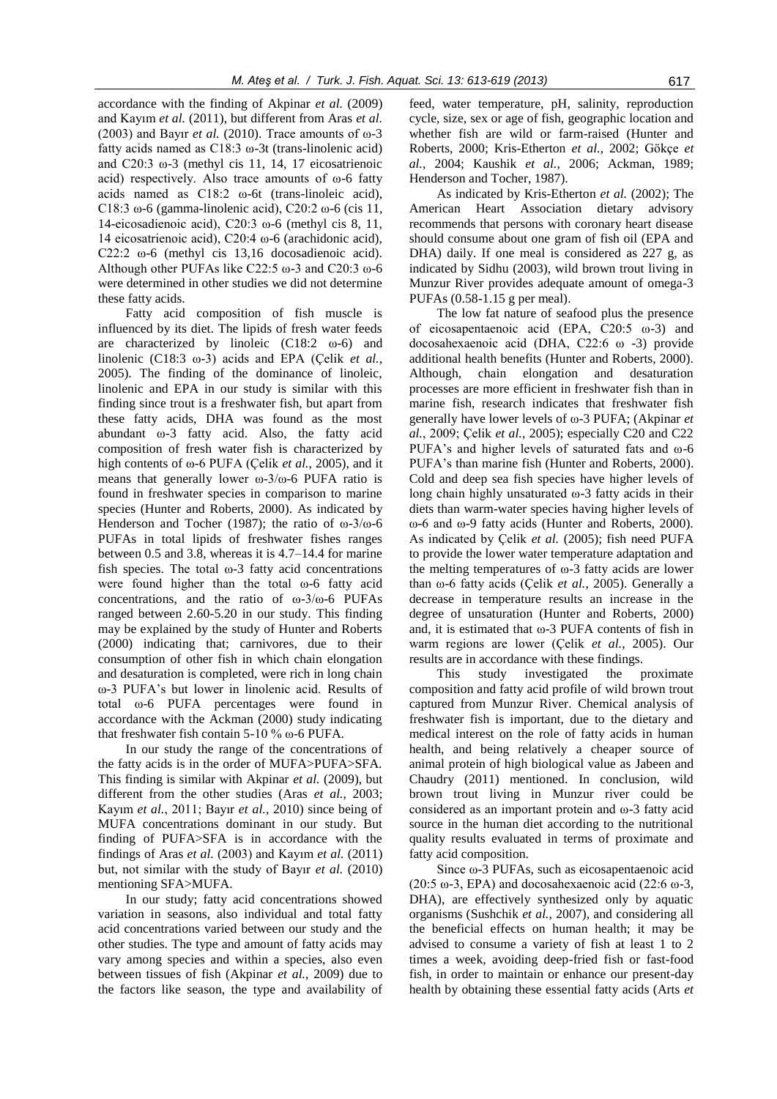accordance with the finding of Akpinar *et al.* (2009) and Kayım *et al.* (2011), but different from Aras *et al.* (2003) and Bayır *et al.* (2010). Trace amounts of ω-3 fatty acids named as C18:3 ω-3t (trans-linolenic acid) and C20:3 ω-3 (methyl cis 11, 14, 17 eicosatrienoic acid) respectively. Also trace amounts of ω-6 fatty acids named as C18:2 ω-6t (trans-linoleic acid), C18:3 ω-6 (gamma-linolenic acid), C20:2 ω-6 (cis 11, 14-eicosadienoic acid), C20:3 ω-6 (methyl cis 8, 11, 14 eicosatrienoic acid), C20:4 ω-6 (arachidonic acid), C22:2 ω-6 (methyl cis 13,16 docosadienoic acid). Although other PUFAs like C22:5 ω-3 and C20:3 ω-6 were determined in other studies we did not determine these fatty acids.

Fatty acid composition of fish muscle is influenced by its diet. The lipids of fresh water feeds are characterized by linoleic  $(C18:2 \quad \omega-6)$  and linolenic (C18:3 ω-3) acids and EPA (Çelik *et al.*, 2005). The finding of the dominance of linoleic, linolenic and EPA in our study is similar with this finding since trout is a freshwater fish, but apart from these fatty acids, DHA was found as the most abundant ω-3 fatty acid. Also, the fatty acid composition of fresh water fish is characterized by high contents of ω-6 PUFA (Çelik *et al.*, 2005), and it means that generally lower  $\omega$ -3/ $\omega$ -6 PUFA ratio is found in freshwater species in comparison to marine species (Hunter and Roberts, 2000). As indicated by Henderson and Tocher (1987); the ratio of  $\omega$ -3/ $\omega$ -6 PUFAs in total lipids of freshwater fishes ranges between 0.5 and 3.8, whereas it is 4.7–14.4 for marine fish species. The total  $\omega$ -3 fatty acid concentrations were found higher than the total ω-6 fatty acid concentrations, and the ratio of ω-3/ω-6 PUFAs ranged between 2.60-5.20 in our study. This finding may be explained by the study of Hunter and Roberts (2000) indicating that; carnivores, due to their consumption of other fish in which chain elongation and desaturation is completed, were rich in long chain ω-3 PUFA's but lower in linolenic acid. Results of total ω-6 PUFA percentages were found in accordance with the Ackman (2000) study indicating that freshwater fish contain 5-10 % ω-6 PUFA.

In our study the range of the concentrations of the fatty acids is in the order of MUFA>PUFA>SFA. This finding is similar with Akpinar *et al.* (2009), but different from the other studies (Aras *et al.*, 2003; Kayım *et al.*, 2011; Bayır *et al.*, 2010) since being of MUFA concentrations dominant in our study. But finding of PUFA>SFA is in accordance with the findings of Aras *et al.* (2003) and Kayım *et al.* (2011) but, not similar with the study of Bayır *et al.* (2010) mentioning SFA>MUFA.

In our study; fatty acid concentrations showed variation in seasons, also individual and total fatty acid concentrations varied between our study and the other studies. The type and amount of fatty acids may vary among species and within a species, also even between tissues of fish (Akpinar *et al.*, 2009) due to the factors like season, the type and availability of

feed, water temperature, pH, salinity, reproduction cycle, size, sex or age of fish, geographic location and whether fish are wild or farm-raised (Hunter and Roberts, 2000; Kris-Etherton *et al.*, 2002; Gökçe *et al.*, 2004; Kaushik *et al.*, 2006; Ackman, 1989; Henderson and Tocher, 1987).

As indicated by Kris-Etherton *et al.* (2002); The American Heart Association dietary advisory recommends that persons with coronary heart disease should consume about one gram of fish oil (EPA and DHA) daily. If one meal is considered as 227 g, as indicated by Sidhu (2003), wild brown trout living in Munzur River provides adequate amount of omega-3 PUFAs (0.58-1.15 g per meal).

The low fat nature of seafood plus the presence of eicosapentaenoic acid (EPA, C20:5 ω-3) and docosahexaenoic acid (DHA, C22:6 ω -3) provide additional health benefits (Hunter and Roberts, 2000). Although, chain elongation and desaturation processes are more efficient in freshwater fish than in marine fish, research indicates that freshwater fish generally have lower levels of ω-3 PUFA; (Akpinar *et al.*, 2009; Çelik *et al.*, 2005); especially C20 and C22 PUFA's and higher levels of saturated fats and ω-6 PUFA's than marine fish (Hunter and Roberts, 2000). Cold and deep sea fish species have higher levels of long chain highly unsaturated ω-3 fatty acids in their diets than warm-water species having higher levels of ω-6 and ω-9 fatty acids (Hunter and Roberts, 2000). As indicated by Çelik *et al.* (2005); fish need PUFA to provide the lower water temperature adaptation and the melting temperatures of ω-3 fatty acids are lower than ω-6 fatty acids (Çelik *et al.*, 2005). Generally a decrease in temperature results an increase in the degree of unsaturation (Hunter and Roberts, 2000) and, it is estimated that ω-3 PUFA contents of fish in warm regions are lower (Çelik *et al.*, 2005). Our results are in accordance with these findings.

This study investigated the proximate composition and fatty acid profile of wild brown trout captured from Munzur River. Chemical analysis of freshwater fish is important, due to the dietary and medical interest on the role of fatty acids in human health, and being relatively a cheaper source of animal protein of high biological value as Jabeen and Chaudry (2011) mentioned. In conclusion, wild brown trout living in Munzur river could be considered as an important protein and ω-3 fatty acid source in the human diet according to the nutritional quality results evaluated in terms of proximate and fatty acid composition.

Since ω-3 PUFAs, such as eicosapentaenoic acid (20:5 ω-3, EPA) and docosahexaenoic acid (22:6 ω-3, DHA), are effectively synthesized only by aquatic organisms (Sushchik *et al.*, 2007), and considering all the beneficial effects on human health; it may be advised to consume a variety of fish at least 1 to 2 times a week, avoiding deep-fried fish or fast-food fish, in order to maintain or enhance our present-day health by obtaining these essential fatty acids (Arts *et*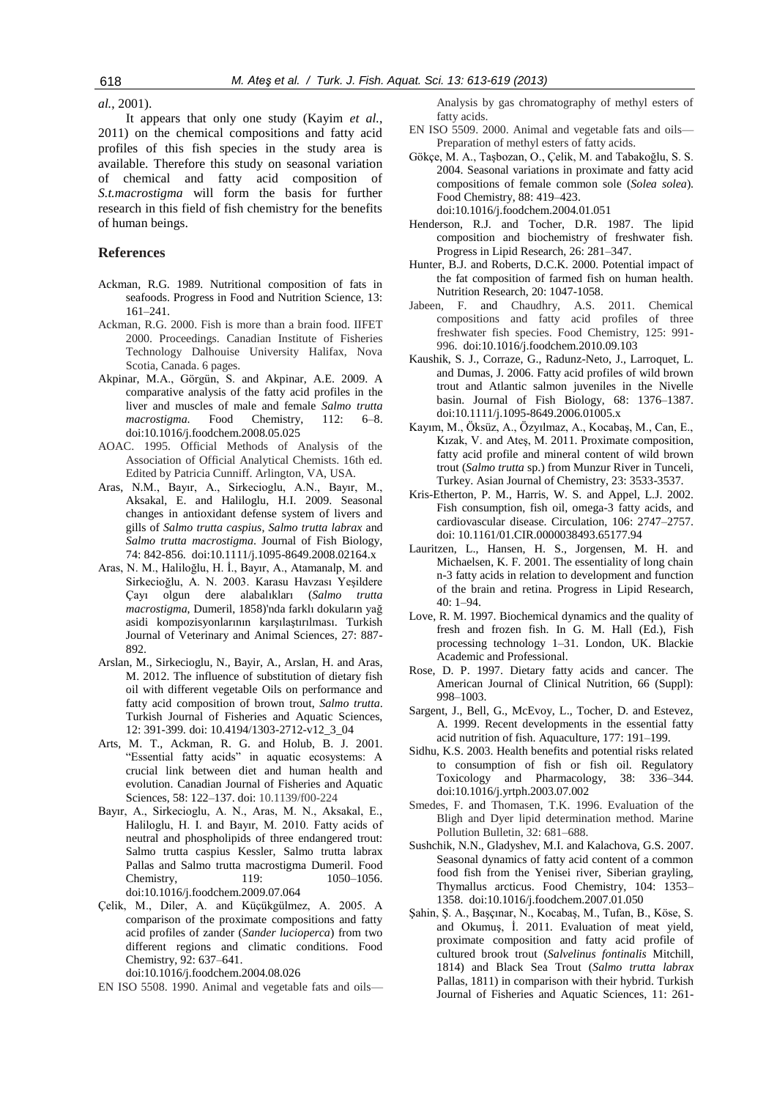*al.*, 2001).

It appears that only one study (Kayim *et al.*, 2011) on the chemical compositions and fatty acid profiles of this fish species in the study area is available. Therefore this study on seasonal variation of chemical and fatty acid composition of *S.t.macrostigma* will form the basis for further research in this field of fish chemistry for the benefits of human beings.

# **References**

- Ackman, R.G. 1989. Nutritional composition of fats in seafoods. Progress in Food and Nutrition Science, 13: 161–241.
- Ackman, R.G. 2000. Fish is more than a brain food. IIFET 2000. Proceedings. Canadian Institute of Fisheries Technology Dalhouise University Halifax, Nova Scotia, Canada. 6 pages.
- Akpinar, M.A., Görgün, S. and Akpinar, A.E. 2009. A comparative analysis of the fatty acid profiles in the liver and muscles of male and female *Salmo trutta macrostigma*. Food Chemistry, 112: 6–8. doi:10.1016/j.foodchem.2008.05.025
- AOAC. 1995. Official Methods of Analysis of the Association of Official Analytical Chemists. 16th ed. Edited by Patricia Cunniff. Arlington, VA, USA.
- Aras, N.M., Bayır, A., Sirkecioglu, A.N., Bayır, M., Aksakal, E. and Haliloglu, H.I. 2009. Seasonal changes in antioxidant defense system of livers and gills of *Salmo trutta caspius*, *Salmo trutta labrax* and *Salmo trutta macrostigma*. Journal of Fish Biology, 74: 842-856. doi:10.1111/j.1095-8649.2008.02164.x
- Aras, N. M., Haliloğlu, H. İ., Bayır, A., Atamanalp, M. and Sirkecioğlu, A. N. 2003. Karasu Havzası Yeşildere Çayı olgun dere alabalıkları (*Salmo trutta macrostigma*, Dumeril, 1858)'nda farklı dokuların yağ asidi kompozisyonlarının karşılaştırılması. Turkish Journal of Veterinary and Animal Sciences, 27: 887- 892.
- Arslan, M., Sirkecioglu, N., Bayir, A., Arslan, H. and Aras, M. 2012. The influence of substitution of dietary fish oil with different vegetable Oils on performance and fatty acid composition of brown trout, *Salmo trutta*. Turkish Journal of Fisheries and Aquatic Sciences, 12: 391-399. doi: 10.4194/1303-2712-v12\_3\_04
- Arts, M. T., Ackman, R. G. and Holub, B. J. 2001. "Essential fatty acids" in aquatic ecosystems: A crucial link between diet and human health and evolution. Canadian Journal of Fisheries and Aquatic Sciences, 58: 122–137. doi: 10.1139/f00-224
- Bayır, A., Sirkecioglu, A. N., Aras, M. N., Aksakal, E., Haliloglu, H. I. and Bayır, M. 2010. Fatty acids of neutral and phospholipids of three endangered trout: Salmo trutta caspius Kessler, Salmo trutta labrax Pallas and Salmo trutta macrostigma Dumeril. Food Chemistry, 119: 1050–1056. doi:10.1016/j.foodchem.2009.07.064
- Çelik, M., Diler, A. and Küçükgülmez, A. 2005. A comparison of the proximate compositions and fatty acid profiles of zander (*Sander lucioperca*) from two different regions and climatic conditions. Food Chemistry, 92: 637–641.

doi:10.1016/j.foodchem.2004.08.026

EN ISO 5508. 1990. Animal and vegetable fats and oils—

Analysis by gas chromatography of methyl esters of fatty acids.

- EN ISO 5509. 2000. Animal and vegetable fats and oils— Preparation of methyl esters of fatty acids.
- Gökçe, M. A., Taşbozan, O., Çelik, M. and Tabakoğlu, S. S. 2004. Seasonal variations in proximate and fatty acid compositions of female common sole (*Solea solea*). Food Chemistry, 88: 419–423. doi:10.1016/j.foodchem.2004.01.051
- Henderson, R.J. and Tocher, D.R. 1987. The lipid composition and biochemistry of freshwater fish. Progress in Lipid Research, 26: 281–347.
- Hunter, B.J. and Roberts, D.C.K. 2000. Potential impact of the fat composition of farmed fish on human health. Nutrition Research, 20: 1047-1058.
- Jabeen, F. and Chaudhry, A.S. 2011. Chemical compositions and fatty acid profiles of three freshwater fish species. Food Chemistry, 125: 991- 996. doi:10.1016/j.foodchem.2010.09.103
- Kaushik, S. J., Corraze, G., Radunz-Neto, J., Larroquet, L. and Dumas, J. 2006. Fatty acid profiles of wild brown trout and Atlantic salmon juveniles in the Nivelle basin. Journal of Fish Biology, 68: 1376–1387. doi:10.1111/j.1095-8649.2006.01005.x
- Kayım, M., Öksüz, A., Özyılmaz, A., Kocabaş, M., Can, E., Kızak, V. and Ateş, M. 2011. Proximate composition, fatty acid profile and mineral content of wild brown trout (*Salmo trutta* sp.) from Munzur River in Tunceli, Turkey. Asian Journal of Chemistry, 23: 3533-3537.
- Kris-Etherton, P. M., Harris, W. S. and Appel, L.J. 2002. Fish consumption, fish oil, omega-3 fatty acids, and cardiovascular disease. Circulation, 106: 2747–2757. doi: 10.1161/01.CIR.0000038493.65177.94
- Lauritzen, L., Hansen, H. S., Jorgensen, M. H. and Michaelsen, K. F. 2001. The essentiality of long chain n-3 fatty acids in relation to development and function of the brain and retina. Progress in Lipid Research, 40: 1–94.
- Love, R. M. 1997. Biochemical dynamics and the quality of fresh and frozen fish. In G. M. Hall (Ed.), Fish processing technology 1–31. London, UK. Blackie Academic and Professional.
- Rose, D. P. 1997. Dietary fatty acids and cancer. The American Journal of Clinical Nutrition, 66 (Suppl): 998–1003.
- Sargent, J., Bell, G., McEvoy, L., Tocher, D. and Estevez, A. 1999. Recent developments in the essential fatty acid nutrition of fish. Aquaculture, 177: 191–199.
- Sidhu, K.S. 2003. Health benefits and potential risks related to consumption of fish or fish oil. Regulatory Toxicology and Pharmacology, 38: 336–344. doi:10.1016/j.yrtph.2003.07.002
- Smedes, F. and Thomasen, T.K. 1996. Evaluation of the Bligh and Dyer lipid determination method. Marine Pollution Bulletin, 32: 681–688.
- Sushchik, N.N., Gladyshev, M.I. and Kalachova, G.S. 2007. Seasonal dynamics of fatty acid content of a common food fish from the Yenisei river, Siberian grayling, Thymallus arcticus. Food Chemistry, 104: 1353– 1358. doi:10.1016/j.foodchem.2007.01.050
- Şahin, Ş. A., Başçınar, N., Kocabaş, M., Tufan, B., Köse, S. and Okumuş, İ. 2011. Evaluation of meat yield, proximate composition and fatty acid profile of cultured brook trout (*Salvelinus fontinalis* Mitchill, 1814) and Black Sea Trout (*Salmo trutta labrax*  Pallas, 1811) in comparison with their hybrid. Turkish Journal of Fisheries and Aquatic Sciences, 11: 261-